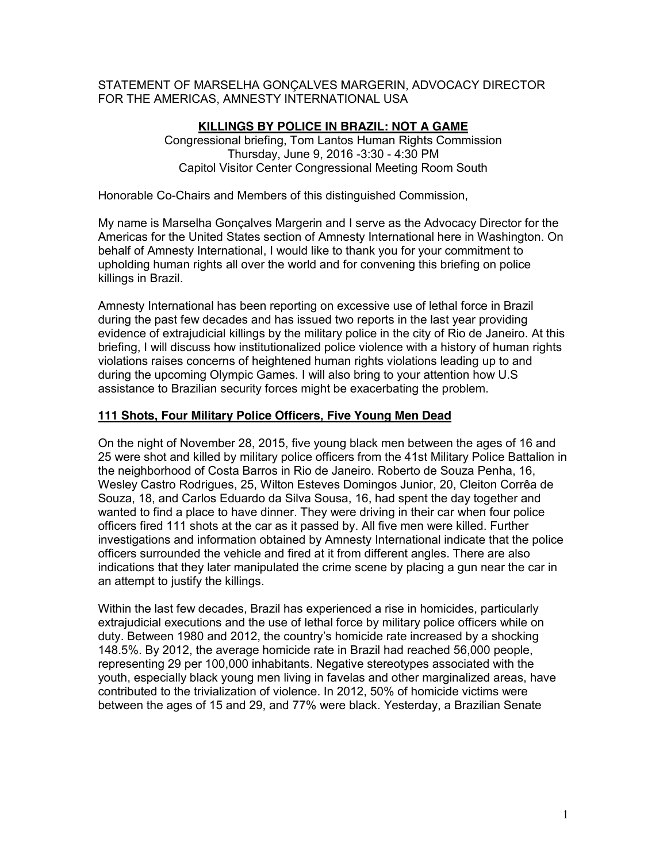STATEMENT OF MARSELHA GONÇALVES MARGERIN, ADVOCACY DIRECTOR FOR THE AMERICAS, AMNESTY INTERNATIONAL USA

# **KILLINGS BY POLICE IN BRAZIL: NOT A GAME**

Congressional briefing, Tom Lantos Human Rights Commission Thursday, June 9, 2016 -3:30 - 4:30 PM Capitol Visitor Center Congressional Meeting Room South

Honorable Co-Chairs and Members of this distinguished Commission,

My name is Marselha Gonçalves Margerin and I serve as the Advocacy Director for the Americas for the United States section of Amnesty International here in Washington. On behalf of Amnesty International, I would like to thank you for your commitment to upholding human rights all over the world and for convening this briefing on police killings in Brazil.

Amnesty International has been reporting on excessive use of lethal force in Brazil during the past few decades and has issued two reports in the last year providing evidence of extrajudicial killings by the military police in the city of Rio de Janeiro. At this briefing, I will discuss how institutionalized police violence with a history of human rights violations raises concerns of heightened human rights violations leading up to and during the upcoming Olympic Games. I will also bring to your attention how U.S assistance to Brazilian security forces might be exacerbating the problem.

# **111 Shots, Four Military Police Officers, Five Young Men Dead**

On the night of November 28, 2015, five young black men between the ages of 16 and 25 were shot and killed by military police officers from the 41st Military Police Battalion in the neighborhood of Costa Barros in Rio de Janeiro. Roberto de Souza Penha, 16, Wesley Castro Rodrigues, 25, Wilton Esteves Domingos Junior, 20, Cleiton Corrêa de Souza, 18, and Carlos Eduardo da Silva Sousa, 16, had spent the day together and wanted to find a place to have dinner. They were driving in their car when four police officers fired 111 shots at the car as it passed by. All five men were killed. Further investigations and information obtained by Amnesty International indicate that the police officers surrounded the vehicle and fired at it from different angles. There are also indications that they later manipulated the crime scene by placing a gun near the car in an attempt to justify the killings.

Within the last few decades, Brazil has experienced a rise in homicides, particularly extrajudicial executions and the use of lethal force by military police officers while on duty. Between 1980 and 2012, the country's homicide rate increased by a shocking 148.5%. By 2012, the average homicide rate in Brazil had reached 56,000 people, representing 29 per 100,000 inhabitants. Negative stereotypes associated with the youth, especially black young men living in favelas and other marginalized areas, have contributed to the trivialization of violence. In 2012, 50% of homicide victims were between the ages of 15 and 29, and 77% were black. Yesterday, a Brazilian Senate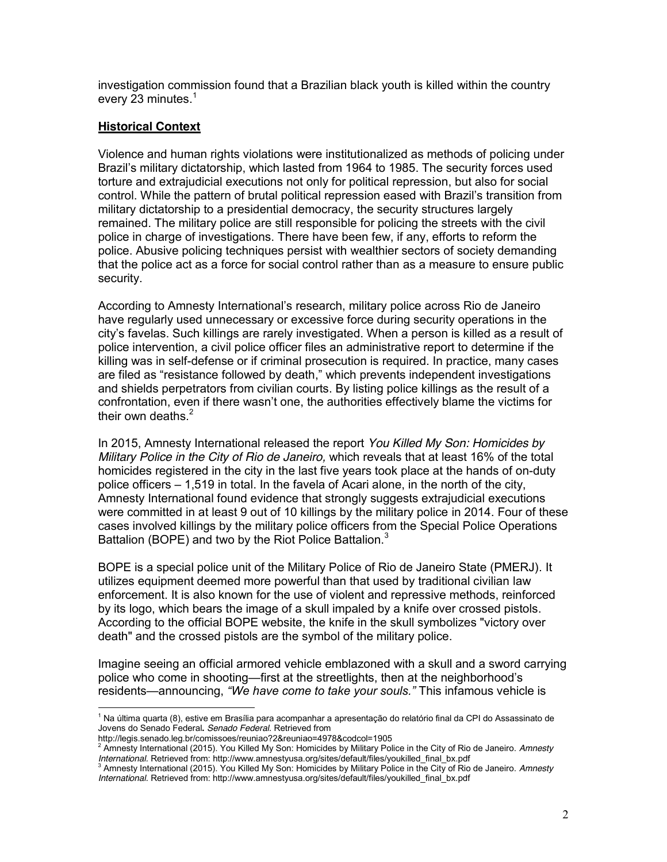investigation commission found that a Brazilian black youth is killed within the country every 23 minutes. $<sup>1</sup>$ </sup>

#### **Historical Context**

Violence and human rights violations were institutionalized as methods of policing under Brazil's military dictatorship, which lasted from 1964 to 1985. The security forces used torture and extrajudicial executions not only for political repression, but also for social control. While the pattern of brutal political repression eased with Brazil's transition from military dictatorship to a presidential democracy, the security structures largely remained. The military police are still responsible for policing the streets with the civil police in charge of investigations. There have been few, if any, efforts to reform the police. Abusive policing techniques persist with wealthier sectors of society demanding that the police act as a force for social control rather than as a measure to ensure public security.

According to Amnesty International's research, military police across Rio de Janeiro have regularly used unnecessary or excessive force during security operations in the city's favelas. Such killings are rarely investigated. When a person is killed as a result of police intervention, a civil police officer files an administrative report to determine if the killing was in self-defense or if criminal prosecution is required. In practice, many cases are filed as "resistance followed by death," which prevents independent investigations and shields perpetrators from civilian courts. By listing police killings as the result of a confrontation, even if there wasn't one, the authorities effectively blame the victims for their own deaths. $2^2$ 

In 2015, Amnesty International released the report *You Killed My Son: Homicides by Military Police in the City of Rio de Janeiro,* which reveals that at least 16% of the total homicides registered in the city in the last five years took place at the hands of on-duty police officers – 1,519 in total. In the favela of Acari alone, in the north of the city, Amnesty International found evidence that strongly suggests extrajudicial executions were committed in at least 9 out of 10 killings by the military police in 2014. Four of these cases involved killings by the military police officers from the Special Police Operations Battalion (BOPE) and two by the Riot Police Battalion.<sup>3</sup>

BOPE is a special police unit of the Military Police of Rio de Janeiro State (PMERJ). It utilizes equipment deemed more powerful than that used by traditional civilian [law](https://en.wikipedia.org/wiki/Law_enforcement)  [enforcement.](https://en.wikipedia.org/wiki/Law_enforcement) It is also known for the use of violent and repressive methods, reinforced by its logo, which bears the image of a skull impaled by a knife over crossed pistols. According to the official BOPE website, the knife in the skull symbolizes "victory over death" and the crossed pistols are the symbol of the military police.

Imagine seeing an official armored vehicle emblazoned with a skull and a sword carrying police who come in shooting—first at the streetlights, then at the neighborhood's residents—announcing, *"We have come to take your souls."* This infamous vehicle is

<sup>1</sup> Na última quarta (8), estive em Brasília para acompanhar a apresentação do relatório final da CPI do Assassinato de Jovens do Senado Federal**.** *Senado Federal.* Retrieved from

http://legis.senado.leg.br/comissoes/reuniao?2&reuniao=4978&codcol=1905

<sup>2</sup> Amnesty International (2015). You Killed My Son: Homicides by Military Police in the City of Rio de Janeiro. *Amnesty*  International. Retrieved from: http://www.amnestyusa.org/sites/default/files/youkilled\_final\_bx.pdf<br><sup>3</sup> Amnesty International (2015). You Killed My Son: Homicides by Military Police in the City of Rio de Janeiro. Amnesty

*International.* Retrieved from: http://www.amnestyusa.org/sites/default/files/youkilled\_final\_bx.pdf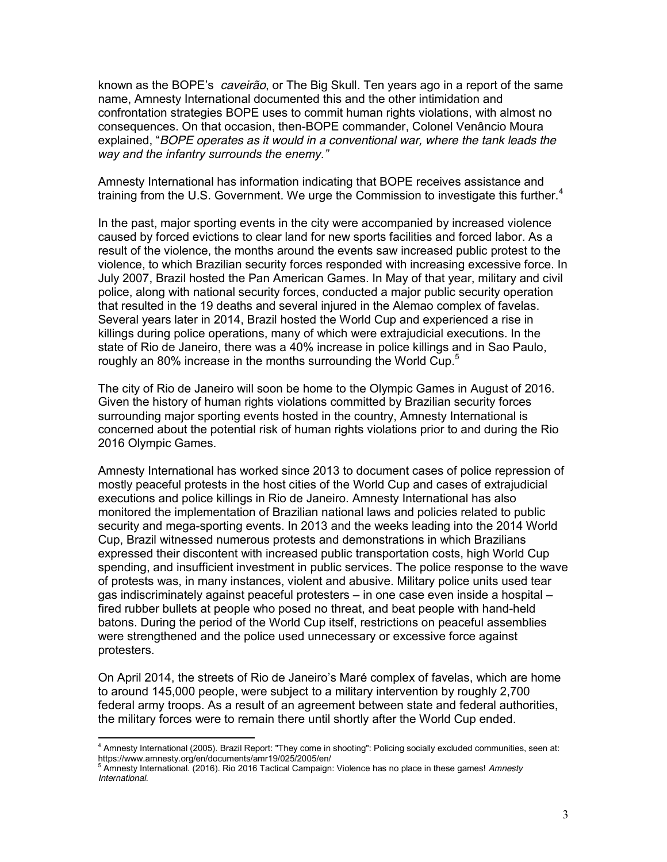known as the BOPE's *caveirão*, or The Big Skull. Ten years ago in a report of the same name, Amnesty International documented this and the other intimidation and confrontation strategies BOPE uses to commit human rights violations, with almost no consequences. On that occasion, then-BOPE commander, Colonel Venâncio Moura explained, "*BOPE operates as it would in a conventional war, where the tank leads the way and the infantry surrounds the enemy."* 

Amnesty International has information indicating that BOPE receives assistance and training from the U.S. Government. We urge the Commission to investigate this further.<sup>4</sup>

In the past, major sporting events in the city were accompanied by increased violence caused by forced evictions to clear land for new sports facilities and forced labor. As a result of the violence, the months around the events saw increased public protest to the violence, to which Brazilian security forces responded with increasing excessive force. In July 2007, Brazil hosted the Pan American Games. In May of that year, military and civil police, along with national security forces, conducted a major public security operation that resulted in the 19 deaths and several injured in the Alemao complex of favelas. Several years later in 2014, Brazil hosted the World Cup and experienced a rise in killings during police operations, many of which were extrajudicial executions. In the state of Rio de Janeiro, there was a 40% increase in police killings and in Sao Paulo, roughly an 80% increase in the months surrounding the World Cup.<sup>5</sup>

The city of Rio de Janeiro will soon be home to the Olympic Games in August of 2016. Given the history of human rights violations committed by Brazilian security forces surrounding major sporting events hosted in the country, Amnesty International is concerned about the potential risk of human rights violations prior to and during the Rio 2016 Olympic Games.

Amnesty International has worked since 2013 to document cases of police repression of mostly peaceful protests in the host cities of the World Cup and cases of extrajudicial executions and police killings in Rio de Janeiro. Amnesty International has also monitored the implementation of Brazilian national laws and policies related to public security and mega-sporting events. In 2013 and the weeks leading into the 2014 World Cup, Brazil witnessed numerous protests and demonstrations in which Brazilians expressed their discontent with increased public transportation costs, high World Cup spending, and insufficient investment in public services. The police response to the wave of protests was, in many instances, violent and abusive. Military police units used tear gas indiscriminately against peaceful protesters – in one case even inside a hospital – fired rubber bullets at people who posed no threat, and beat people with hand-held batons. During the period of the World Cup itself, restrictions on peaceful assemblies were strengthened and the police used unnecessary or excessive force against protesters.

On April 2014, the streets of Rio de Janeiro's Maré complex of favelas, which are home to around 145,000 people, were subject to a military intervention by roughly 2,700 federal army troops. As a result of an agreement between state and federal authorities, the military forces were to remain there until shortly after the World Cup ended.

<sup>&</sup>lt;sup>4</sup> Amnesty International (2005). Brazil Report: "They come in shooting": Policing socially excluded communities, seen at:<br>https://www.amnesty.org/en/documents/amr19/025/2005/en/

<sup>&</sup>lt;sup>5</sup> Amnesty International. (2016). Rio 2016 Tactical Campaign: Violence has no place in these games! Amnesty *International.*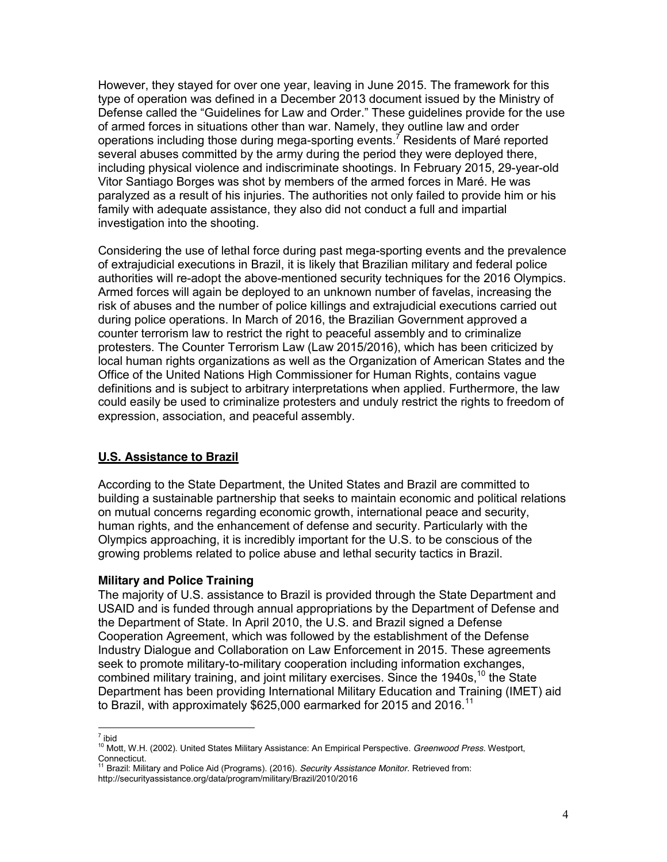However, they stayed for over one year, leaving in June 2015. The framework for this type of operation was defined in a December 2013 document issued by the Ministry of Defense called the "Guidelines for Law and Order." These guidelines provide for the use of armed forces in situations other than war. Namely, they outline law and order operations including those during mega-sporting events.<sup>7</sup> Residents of Maré reported several abuses committed by the army during the period they were deployed there, including physical violence and indiscriminate shootings. In February 2015, 29-year-old Vitor Santiago Borges was shot by members of the armed forces in Maré. He was paralyzed as a result of his injuries. The authorities not only failed to provide him or his family with adequate assistance, they also did not conduct a full and impartial investigation into the shooting.

Considering the use of lethal force during past mega-sporting events and the prevalence of extrajudicial executions in Brazil, it is likely that Brazilian military and federal police authorities will re-adopt the above-mentioned security techniques for the 2016 Olympics. Armed forces will again be deployed to an unknown number of favelas, increasing the risk of abuses and the number of police killings and extrajudicial executions carried out during police operations. In March of 2016, the Brazilian Government approved a counter terrorism law to restrict the right to peaceful assembly and to criminalize protesters. The Counter Terrorism Law (Law 2015/2016), which has been criticized by local human rights organizations as well as the Organization of American States and the Office of the United Nations High Commissioner for Human Rights, contains vague definitions and is subject to arbitrary interpretations when applied. Furthermore, the law could easily be used to criminalize protesters and unduly restrict the rights to freedom of expression, association, and peaceful assembly.

# **U.S. Assistance to Brazil**

According to the State Department, the United States and Brazil are committed to building a sustainable partnership that seeks to maintain economic and political relations on mutual concerns regarding economic growth, international peace and security, human rights, and the enhancement of defense and security. Particularly with the Olympics approaching, it is incredibly important for the U.S. to be conscious of the growing problems related to police abuse and lethal security tactics in Brazil.

# **Military and Police Training**

The majority of U.S. assistance to Brazil is provided through the State Department and USAID and is funded through annual appropriations by the Department of Defense and the Department of State. In April 2010, the U.S. and Brazil signed a Defense Cooperation Agreement, which was followed by the establishment of the Defense Industry Dialogue and Collaboration on Law Enforcement in 2015. These agreements seek to promote military-to-military cooperation including information exchanges, combined military training, and joint military exercises. Since the  $1940s$ , <sup>10</sup> the State Department has been providing International Military Education and Training (IMET) aid to Brazil, with approximately \$625,000 earmarked for 2015 and 2016.<sup>11</sup>

 $\overline{a^7}$ ibid

<sup>10</sup> Mott, W.H. (2002). United States Military Assistance: An Empirical Perspective. *Greenwood Press*. Westport, Connecticut.

<sup>11</sup> Brazil: Military and Police Aid (Programs). (2016). *Security Assistance Monitor.* Retrieved from: http://securityassistance.org/data/program/military/Brazil/2010/2016